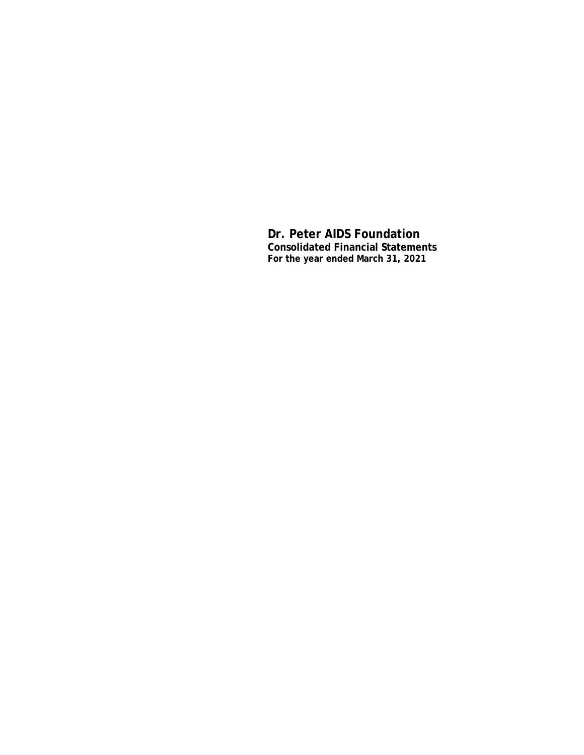**Dr. Peter AIDS Foundation Consolidated Financial Statements For the year ended March 31, 2021**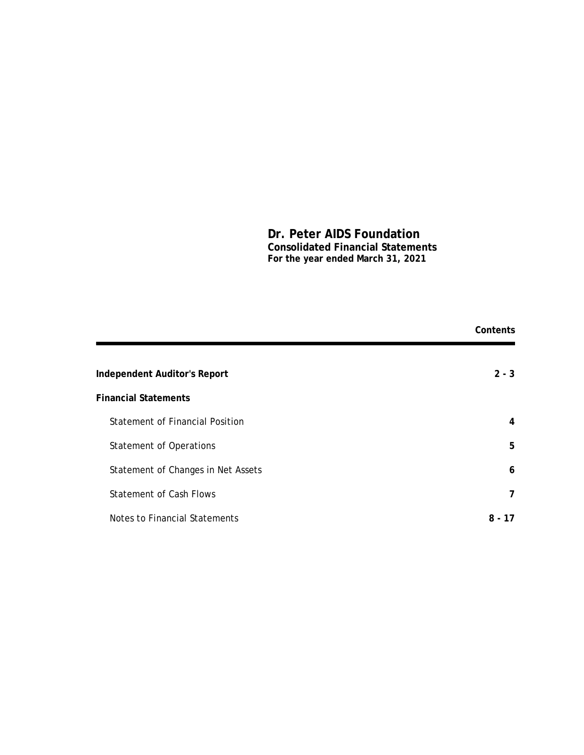# **Dr. Peter AIDS Foundation Consolidated Financial Statements For the year ended March 31, 2021**

|                                     | Contents  |
|-------------------------------------|-----------|
| <b>Independent Auditor's Report</b> | $2 - 3$   |
| <b>Financial Statements</b>         |           |
| Statement of Financial Position     | 4         |
| <b>Statement of Operations</b>      | 5         |
| Statement of Changes in Net Assets  | 6         |
| <b>Statement of Cash Flows</b>      | 7         |
| Notes to Financial Statements       | 8 -<br>17 |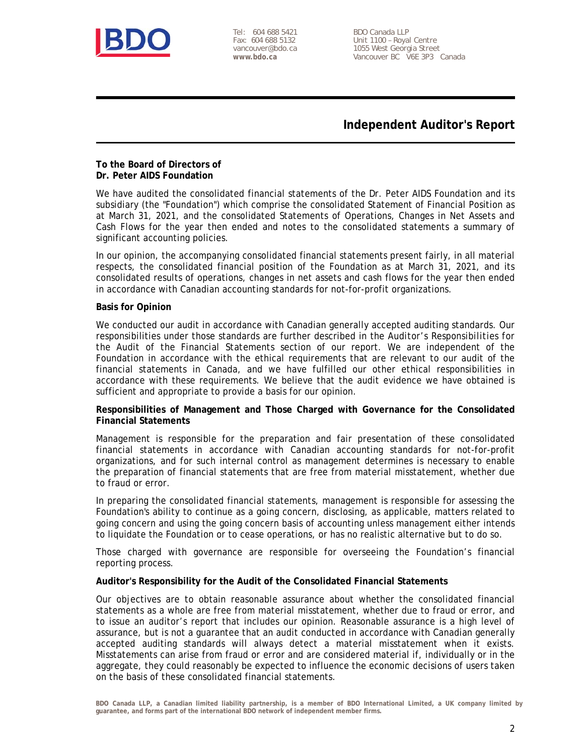

Tel: 604 688 5421 Fax: 604 688 5132 vancouver@bdo.ca **www.bdo.ca**

BDO Canada LLP Unit 1100 – Royal Centre 1055 West Georgia Street Vancouver BC V6E 3P3 Canada

# **Independent Auditor's Report**

## **To the Board of Directors of Dr. Peter AIDS Foundation**

We have audited the consolidated financial statements of the Dr. Peter AIDS Foundation and its subsidiary (the "Foundation") which comprise the consolidated Statement of Financial Position as at March 31, 2021, and the consolidated Statements of Operations, Changes in Net Assets and Cash Flows for the year then ended and notes to the consolidated statements a summary of significant accounting policies.

In our opinion, the accompanying consolidated financial statements present fairly, in all material respects, the consolidated financial position of the Foundation as at March 31, 2021, and its consolidated results of operations, changes in net assets and cash flows for the year then ended in accordance with Canadian accounting standards for not-for-profit organizations.

# **Basis for Opinion**

We conducted our audit in accordance with Canadian generally accepted auditing standards. Our responsibilities under those standards are further described in the *Auditor's Responsibilities for the Audit of the Financial Statements* section of our report. We are independent of the Foundation in accordance with the ethical requirements that are relevant to our audit of the financial statements in Canada, and we have fulfilled our other ethical responsibilities in accordance with these requirements. We believe that the audit evidence we have obtained is sufficient and appropriate to provide a basis for our opinion.

## **Responsibilities of Management and Those Charged with Governance for the Consolidated Financial Statements**

Management is responsible for the preparation and fair presentation of these consolidated financial statements in accordance with Canadian accounting standards for not-for-profit organizations, and for such internal control as management determines is necessary to enable the preparation of financial statements that are free from material misstatement, whether due to fraud or error.

In preparing the consolidated financial statements, management is responsible for assessing the Foundation's ability to continue as a going concern, disclosing, as applicable, matters related to going concern and using the going concern basis of accounting unless management either intends to liquidate the Foundation or to cease operations, or has no realistic alternative but to do so.

Those charged with governance are responsible for overseeing the Foundation's financial reporting process.

## **Auditor's Responsibility for the Audit of the Consolidated Financial Statements**

Our objectives are to obtain reasonable assurance about whether the consolidated financial statements as a whole are free from material misstatement, whether due to fraud or error, and to issue an auditor's report that includes our opinion. Reasonable assurance is a high level of assurance, but is not a guarantee that an audit conducted in accordance with Canadian generally accepted auditing standards will always detect a material misstatement when it exists. Misstatements can arise from fraud or error and are considered material if, individually or in the aggregate, they could reasonably be expected to influence the economic decisions of users taken on the basis of these consolidated financial statements.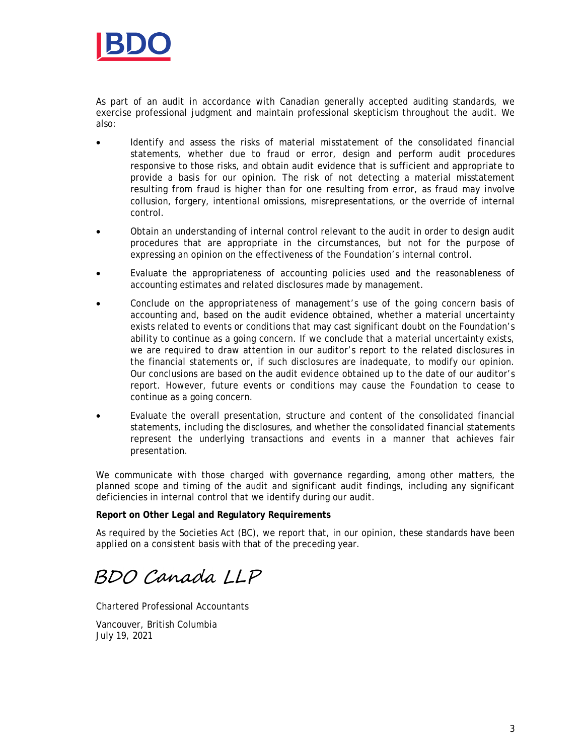

As part of an audit in accordance with Canadian generally accepted auditing standards, we exercise professional judgment and maintain professional skepticism throughout the audit. We also:

- Identify and assess the risks of material misstatement of the consolidated financial statements, whether due to fraud or error, design and perform audit procedures responsive to those risks, and obtain audit evidence that is sufficient and appropriate to provide a basis for our opinion. The risk of not detecting a material misstatement resulting from fraud is higher than for one resulting from error, as fraud may involve collusion, forgery, intentional omissions, misrepresentations, or the override of internal control.
- Obtain an understanding of internal control relevant to the audit in order to design audit procedures that are appropriate in the circumstances, but not for the purpose of expressing an opinion on the effectiveness of the Foundation's internal control.
- Evaluate the appropriateness of accounting policies used and the reasonableness of accounting estimates and related disclosures made by management.
- Conclude on the appropriateness of management's use of the going concern basis of accounting and, based on the audit evidence obtained, whether a material uncertainty exists related to events or conditions that may cast significant doubt on the Foundation's ability to continue as a going concern. If we conclude that a material uncertainty exists, we are required to draw attention in our auditor's report to the related disclosures in the financial statements or, if such disclosures are inadequate, to modify our opinion. Our conclusions are based on the audit evidence obtained up to the date of our auditor's report. However, future events or conditions may cause the Foundation to cease to continue as a going concern.
- Evaluate the overall presentation, structure and content of the consolidated financial statements, including the disclosures, and whether the consolidated financial statements represent the underlying transactions and events in a manner that achieves fair presentation.

We communicate with those charged with governance regarding, among other matters, the planned scope and timing of the audit and significant audit findings, including any significant deficiencies in internal control that we identify during our audit.

## **Report on Other Legal and Regulatory Requirements**

As required by the Societies Act (BC), we report that, in our opinion, these standards have been applied on a consistent basis with that of the preceding year.

BDO Canada LLP

Chartered Professional Accountants

Vancouver, British Columbia July 19, 2021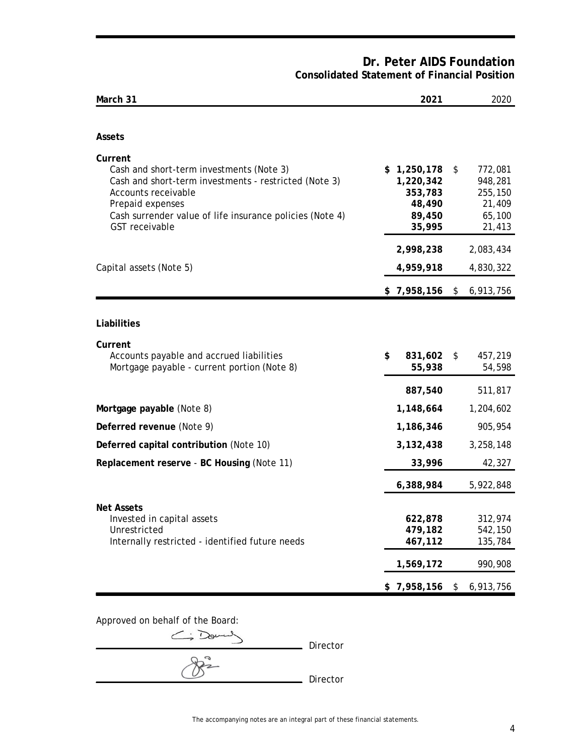# **Dr. Peter AIDS Foundation Consolidated Statement of Financial Position**

| March 31                                                                                                                                                                                                                                     | 2021                                                              | 2020                                                              |
|----------------------------------------------------------------------------------------------------------------------------------------------------------------------------------------------------------------------------------------------|-------------------------------------------------------------------|-------------------------------------------------------------------|
|                                                                                                                                                                                                                                              |                                                                   |                                                                   |
| <b>Assets</b>                                                                                                                                                                                                                                |                                                                   |                                                                   |
| Current<br>Cash and short-term investments (Note 3)<br>Cash and short-term investments - restricted (Note 3)<br>Accounts receivable<br>Prepaid expenses<br>Cash surrender value of life insurance policies (Note 4)<br><b>GST</b> receivable | \$1,250,178<br>1,220,342<br>353,783<br>48,490<br>89,450<br>35,995 | \$<br>772,081<br>948,281<br>255,150<br>21,409<br>65,100<br>21,413 |
|                                                                                                                                                                                                                                              | 2,998,238                                                         | 2,083,434                                                         |
| Capital assets (Note 5)                                                                                                                                                                                                                      | 4,959,918                                                         | 4,830,322                                                         |
|                                                                                                                                                                                                                                              | \$7,958,156                                                       | 6,913,756<br>\$                                                   |
|                                                                                                                                                                                                                                              |                                                                   |                                                                   |
| Liabilities                                                                                                                                                                                                                                  |                                                                   |                                                                   |
| Current<br>Accounts payable and accrued liabilities<br>Mortgage payable - current portion (Note 8)                                                                                                                                           | \$<br>831,602<br>55,938                                           | 457,219<br>\$<br>54,598                                           |
|                                                                                                                                                                                                                                              | 887,540                                                           | 511,817                                                           |
| Mortgage payable (Note 8)                                                                                                                                                                                                                    | 1,148,664                                                         | 1,204,602                                                         |
| Deferred revenue (Note 9)                                                                                                                                                                                                                    | 1,186,346                                                         | 905,954                                                           |
| Deferred capital contribution (Note 10)                                                                                                                                                                                                      | 3,132,438                                                         | 3,258,148                                                         |
| Replacement reserve - BC Housing (Note 11)                                                                                                                                                                                                   | 33,996                                                            | 42,327                                                            |
|                                                                                                                                                                                                                                              | 6,388,984                                                         | 5,922,848                                                         |
| <b>Net Assets</b><br>Invested in capital assets<br>Unrestricted<br>Internally restricted - identified future needs                                                                                                                           | 622,878<br>479,182<br>467,112                                     | 312,974<br>542,150<br>135,784                                     |
|                                                                                                                                                                                                                                              | 1,569,172                                                         | 990,908                                                           |
|                                                                                                                                                                                                                                              | \$7,958,156                                                       | 6,913,756<br>\$                                                   |

Approved on behalf of the Board: Director Director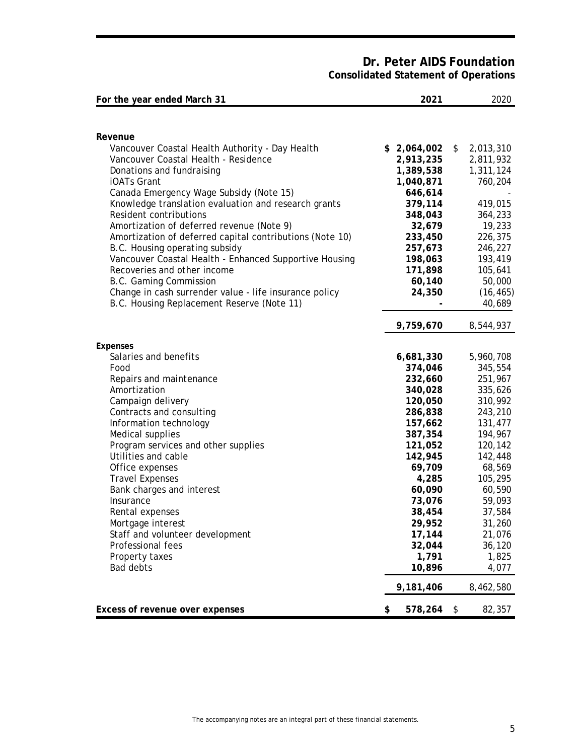# **Dr. Peter AIDS Foundation**

**Consolidated Statement of Operations**

| For the year ended March 31                              | 2021          | 2020            |
|----------------------------------------------------------|---------------|-----------------|
|                                                          |               |                 |
| Revenue                                                  |               |                 |
| Vancouver Coastal Health Authority - Day Health          | \$2,064,002   | \$<br>2,013,310 |
| Vancouver Coastal Health - Residence                     | 2,913,235     | 2,811,932       |
| Donations and fundraising                                | 1,389,538     | 1,311,124       |
| iOATs Grant                                              | 1,040,871     | 760,204         |
| Canada Emergency Wage Subsidy (Note 15)                  | 646,614       |                 |
| Knowledge translation evaluation and research grants     | 379,114       | 419,015         |
| Resident contributions                                   | 348,043       | 364,233         |
| Amortization of deferred revenue (Note 9)                | 32,679        | 19,233          |
| Amortization of deferred capital contributions (Note 10) | 233,450       | 226,375         |
| B.C. Housing operating subsidy                           | 257,673       | 246,227         |
| Vancouver Coastal Health - Enhanced Supportive Housing   | 198,063       | 193,419         |
| Recoveries and other income                              | 171,898       | 105,641         |
| B.C. Gaming Commission                                   | 60,140        | 50,000          |
| Change in cash surrender value - life insurance policy   | 24,350        | (16, 465)       |
| B.C. Housing Replacement Reserve (Note 11)               |               | 40,689          |
|                                                          | 9,759,670     | 8,544,937       |
| <b>Expenses</b>                                          |               |                 |
| Salaries and benefits                                    | 6,681,330     | 5,960,708       |
| Food                                                     | 374,046       | 345,554         |
| Repairs and maintenance                                  | 232,660       | 251,967         |
| Amortization                                             | 340,028       | 335,626         |
| Campaign delivery                                        | 120,050       | 310,992         |
| Contracts and consulting                                 | 286,838       | 243,210         |
| Information technology                                   | 157,662       | 131,477         |
| Medical supplies                                         | 387,354       | 194,967         |
| Program services and other supplies                      | 121,052       | 120,142         |
| Utilities and cable                                      | 142,945       | 142,448         |
| Office expenses                                          | 69,709        | 68,569          |
| <b>Travel Expenses</b>                                   | 4,285         | 105,295         |
| Bank charges and interest                                | 60,090        | 60,590          |
| Insurance                                                | 73,076        | 59,093          |
| Rental expenses                                          | 38,454        | 37,584          |
| Mortgage interest                                        | 29,952        | 31,260          |
| Staff and volunteer development                          | 17,144        | 21,076          |
| Professional fees                                        | 32,044        | 36,120          |
| Property taxes                                           | 1,791         | 1,825           |
| <b>Bad debts</b>                                         | 10,896        | 4,077           |
|                                                          | 9,181,406     | 8,462,580       |
| Excess of revenue over expenses                          | \$<br>578,264 | \$<br>82,357    |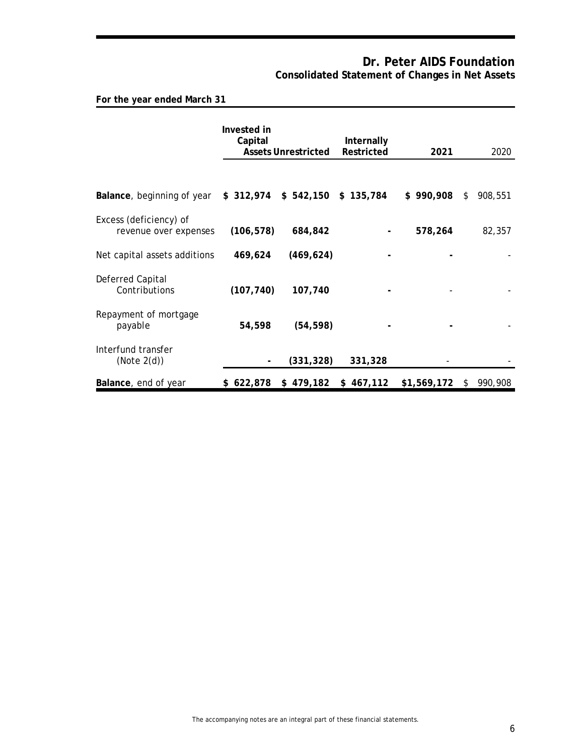# **Dr. Peter AIDS Foundation**

 **Consolidated Statement of Changes in Net Assets**

**For the year ended March 31**

|                                                 | Invested in<br>Capital | <b>Assets Unrestricted</b>       | Internally<br>Restricted | 2021        | 2020          |
|-------------------------------------------------|------------------------|----------------------------------|--------------------------|-------------|---------------|
| <b>Balance, beginning of year</b>               |                        | $$312,974$ $$542,150$ $$135,784$ |                          | \$990,908   | \$<br>908,551 |
| Excess (deficiency) of<br>revenue over expenses | (106, 578)             | 684,842                          |                          | 578,264     | 82,357        |
| Net capital assets additions                    | 469,624                | (469, 624)                       |                          |             |               |
| Deferred Capital<br>Contributions               | (107, 740)             | 107,740                          |                          |             |               |
| Repayment of mortgage<br>payable                | 54,598                 | (54, 598)                        |                          |             |               |
| Interfund transfer<br>(Note 2(d))               |                        | (331, 328)                       | 331,328                  |             |               |
| Balance, end of year                            | \$622,878              | \$479,182                        | \$467,112                | \$1,569,172 | \$<br>990,908 |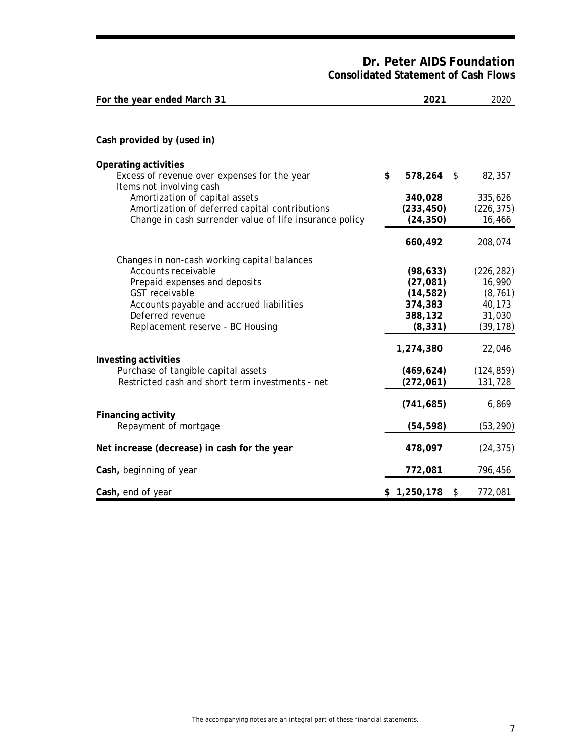# **Dr. Peter AIDS Foundation**

**Consolidated Statement of Cash Flows**

| For the year ended March 31                                              | 2021                  | 2020       |
|--------------------------------------------------------------------------|-----------------------|------------|
|                                                                          |                       |            |
| Cash provided by (used in)                                               |                       |            |
| <b>Operating activities</b>                                              |                       |            |
| Excess of revenue over expenses for the year<br>Items not involving cash | \$<br>578,264<br>\$   | 82,357     |
| Amortization of capital assets                                           | 340,028               | 335,626    |
| Amortization of deferred capital contributions                           | (233, 450)            | (226, 375) |
| Change in cash surrender value of life insurance policy                  | (24, 350)             | 16,466     |
|                                                                          | 660,492               | 208,074    |
| Changes in non-cash working capital balances                             |                       |            |
| Accounts receivable                                                      | (98, 633)             | (226, 282) |
| Prepaid expenses and deposits                                            | (27, 081)             | 16,990     |
| GST receivable                                                           | (14, 582)             | (8, 761)   |
| Accounts payable and accrued liabilities                                 | 374,383               | 40,173     |
| Deferred revenue                                                         | 388,132               | 31,030     |
| Replacement reserve - BC Housing                                         | (8, 331)              | (39, 178)  |
|                                                                          | 1,274,380             | 22,046     |
| Investing activities<br>Purchase of tangible capital assets              | (469, 624)            | (124, 859) |
| Restricted cash and short term investments - net                         | (272, 061)            | 131,728    |
|                                                                          | (741, 685)            | 6,869      |
| Financing activity                                                       |                       |            |
| Repayment of mortgage                                                    | (54, 598)             | (53,290)   |
| Net increase (decrease) in cash for the year                             | 478,097               | (24, 375)  |
| Cash, beginning of year                                                  | 772,081               | 796,456    |
| Cash, end of year                                                        | \$<br>\$<br>1,250,178 | 772,081    |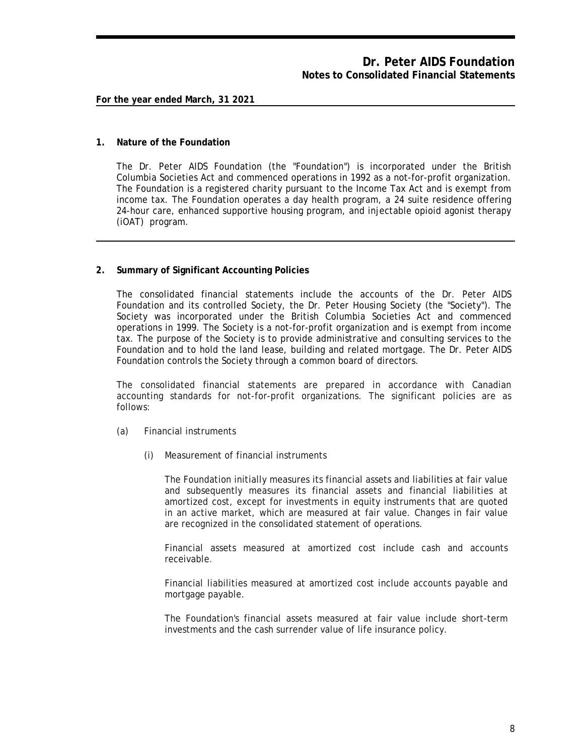## **1. Nature of the Foundation**

The Dr. Peter AIDS Foundation (the "Foundation") is incorporated under the British Columbia Societies Act and commenced operations in 1992 as a not-for-profit organization. The Foundation is a registered charity pursuant to the Income Tax Act and is exempt from income tax. The Foundation operates a day health program, a 24 suite residence offering 24-hour care, enhanced supportive housing program, and injectable opioid agonist therapy (iOAT) program.

## **2. Summary of Significant Accounting Policies**

The consolidated financial statements include the accounts of the Dr. Peter AIDS Foundation and its controlled Society, the Dr. Peter Housing Society (the "Society"). The Society was incorporated under the British Columbia Societies Act and commenced operations in 1999. The Society is a not-for-profit organization and is exempt from income tax. The purpose of the Society is to provide administrative and consulting services to the Foundation and to hold the land lease, building and related mortgage. The Dr. Peter AIDS Foundation controls the Society through a common board of directors.

The consolidated financial statements are prepared in accordance with Canadian accounting standards for not-for-profit organizations. The significant policies are as follows:

- (a) Financial instruments
	- (i) Measurement of financial instruments

The Foundation initially measures its financial assets and liabilities at fair value and subsequently measures its financial assets and financial liabilities at amortized cost, except for investments in equity instruments that are quoted in an active market, which are measured at fair value. Changes in fair value are recognized in the consolidated statement of operations.

Financial assets measured at amortized cost include cash and accounts receivable.

Financial liabilities measured at amortized cost include accounts payable and mortgage payable.

The Foundation's financial assets measured at fair value include short-term investments and the cash surrender value of life insurance policy.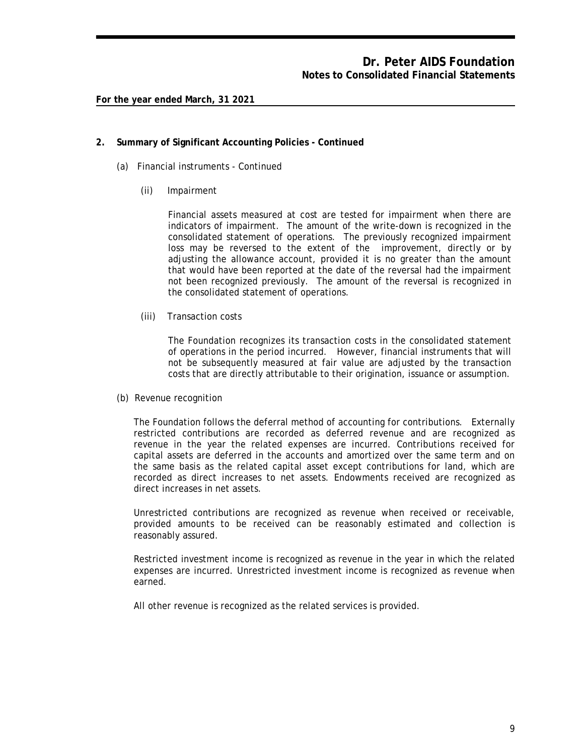## **2. Summary of Significant Accounting Policies - Continued**

- (a) Financial instruments Continued
	- (ii) Impairment

Financial assets measured at cost are tested for impairment when there are indicators of impairment. The amount of the write-down is recognized in the consolidated statement of operations. The previously recognized impairment loss may be reversed to the extent of the improvement, directly or by adjusting the allowance account, provided it is no greater than the amount that would have been reported at the date of the reversal had the impairment not been recognized previously. The amount of the reversal is recognized in the consolidated statement of operations.

(iii) Transaction costs

The Foundation recognizes its transaction costs in the consolidated statement of operations in the period incurred. However, financial instruments that will not be subsequently measured at fair value are adjusted by the transaction costs that are directly attributable to their origination, issuance or assumption.

(b) Revenue recognition

The Foundation follows the deferral method of accounting for contributions. Externally restricted contributions are recorded as deferred revenue and are recognized as revenue in the year the related expenses are incurred. Contributions received for capital assets are deferred in the accounts and amortized over the same term and on the same basis as the related capital asset except contributions for land, which are recorded as direct increases to net assets. Endowments received are recognized as direct increases in net assets.

Unrestricted contributions are recognized as revenue when received or receivable, provided amounts to be received can be reasonably estimated and collection is reasonably assured.

Restricted investment income is recognized as revenue in the year in which the related expenses are incurred. Unrestricted investment income is recognized as revenue when earned.

All other revenue is recognized as the related services is provided.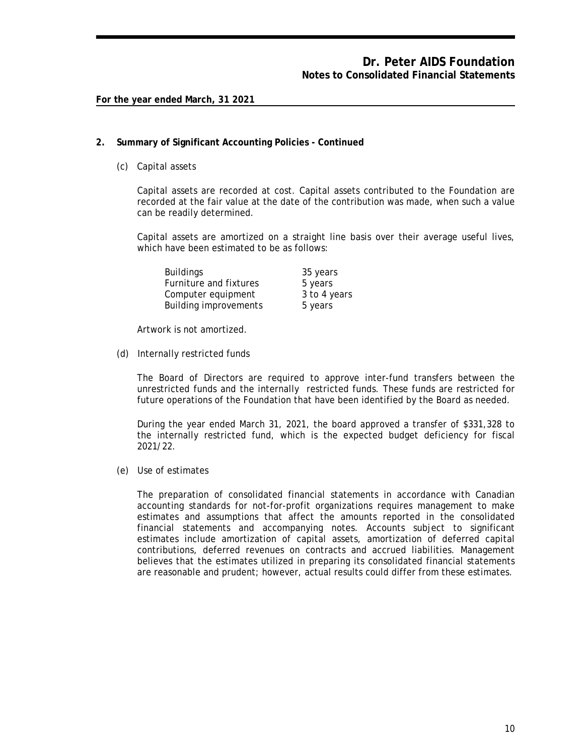## **2. Summary of Significant Accounting Policies - Continued**

(c) Capital assets

Capital assets are recorded at cost. Capital assets contributed to the Foundation are recorded at the fair value at the date of the contribution was made, when such a value can be readily determined.

Capital assets are amortized on a straight line basis over their average useful lives, which have been estimated to be as follows:

| <b>Buildings</b>             | 35 years     |
|------------------------------|--------------|
| Furniture and fixtures       | 5 years      |
| Computer equipment           | 3 to 4 years |
| <b>Building improvements</b> | 5 years      |

Artwork is not amortized.

(d) Internally restricted funds

The Board of Directors are required to approve inter-fund transfers between the unrestricted funds and the internally restricted funds. These funds are restricted for future operations of the Foundation that have been identified by the Board as needed.

During the year ended March 31, 2021, the board approved a transfer of \$331,328 to the internally restricted fund, which is the expected budget deficiency for fiscal 2021/22.

(e) Use of estimates

The preparation of consolidated financial statements in accordance with Canadian accounting standards for not-for-profit organizations requires management to make estimates and assumptions that affect the amounts reported in the consolidated financial statements and accompanying notes. Accounts subject to significant estimates include amortization of capital assets, amortization of deferred capital contributions, deferred revenues on contracts and accrued liabilities. Management believes that the estimates utilized in preparing its consolidated financial statements are reasonable and prudent; however, actual results could differ from these estimates.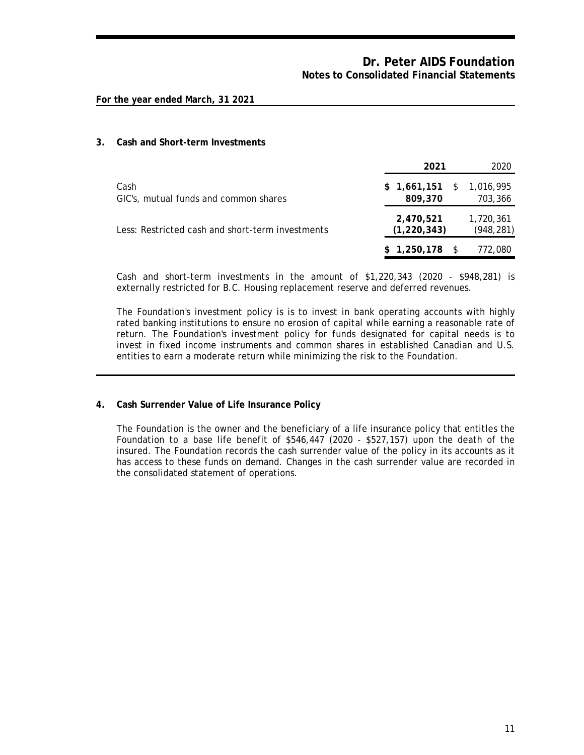# **For the year ended March, 31 2021**

# **3. Cash and Short-term Investments**

|                                                  | 2021                       | 2020                    |  |
|--------------------------------------------------|----------------------------|-------------------------|--|
| Cash<br>GIC's, mutual funds and common shares    | $$1,661,151$ \,<br>809,370 | 1,016,995<br>703,366    |  |
| Less: Restricted cash and short-term investments | 2,470,521<br>(1, 220, 343) | 1,720,361<br>(948, 281) |  |
|                                                  | \$1,250,178                | 772,080                 |  |

Cash and short-term investments in the amount of \$1,220,343 (2020 - \$948,281) is externally restricted for B.C. Housing replacement reserve and deferred revenues.

The Foundation's investment policy is is to invest in bank operating accounts with highly rated banking institutions to ensure no erosion of capital while earning a reasonable rate of return. The Foundation's investment policy for funds designated for capital needs is to invest in fixed income instruments and common shares in established Canadian and U.S. entities to earn a moderate return while minimizing the risk to the Foundation.

## **4. Cash Surrender Value of Life Insurance Policy**

The Foundation is the owner and the beneficiary of a life insurance policy that entitles the Foundation to a base life benefit of \$546,447 (2020 - \$527,157) upon the death of the insured. The Foundation records the cash surrender value of the policy in its accounts as it has access to these funds on demand. Changes in the cash surrender value are recorded in the consolidated statement of operations.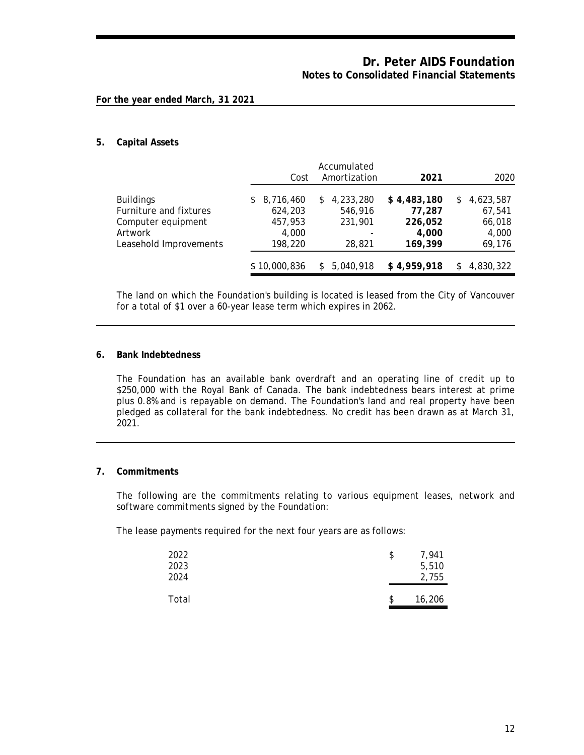# **For the year ended March, 31 2021**

## **5. Capital Assets**

|                                                                                                       | Cost                                                      | Accumulated<br>Amortization                 | 2021                                                 | 2020                                                  |
|-------------------------------------------------------------------------------------------------------|-----------------------------------------------------------|---------------------------------------------|------------------------------------------------------|-------------------------------------------------------|
| <b>Buildings</b><br>Furniture and fixtures<br>Computer equipment<br>Artwork<br>Leasehold Improvements | 8,716,460<br>S.<br>624,203<br>457,953<br>4,000<br>198,220 | \$4,233,280<br>546,916<br>231,901<br>28,821 | \$4,483,180<br>77,287<br>226,052<br>4,000<br>169,399 | 4,623,587<br>S<br>67,541<br>66,018<br>4,000<br>69,176 |
|                                                                                                       | \$10,000,836                                              | 5,040,918                                   | \$4,959,918                                          | 4,830,322                                             |

The land on which the Foundation's building is located is leased from the City of Vancouver for a total of \$1 over a 60-year lease term which expires in 2062.

## **6. Bank Indebtedness**

The Foundation has an available bank overdraft and an operating line of credit up to \$250,000 with the Royal Bank of Canada. The bank indebtedness bears interest at prime plus 0.8% and is repayable on demand. The Foundation's land and real property have been pledged as collateral for the bank indebtedness. No credit has been drawn as at March 31, 2021.

## **7. Commitments**

The following are the commitments relating to various equipment leases, network and software commitments signed by the Foundation:

The lease payments required for the next four years are as follows:

| 2022<br>2023<br>2024 | \$<br>7,941<br>5,510<br>2,755 |
|----------------------|-------------------------------|
| Total                | \$<br>16,206                  |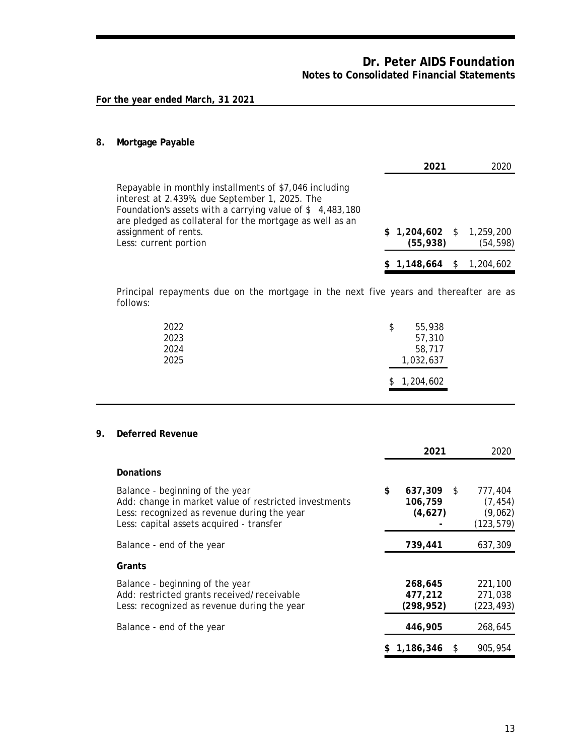# **For the year ended March, 31 2021**

# **8. Mortgage Payable**

|                                                                                                                                                                                                                                                                                   | 2021                                       | 2020      |
|-----------------------------------------------------------------------------------------------------------------------------------------------------------------------------------------------------------------------------------------------------------------------------------|--------------------------------------------|-----------|
| Repayable in monthly installments of \$7,046 including<br>interest at 2.439%, due September 1, 2025. The<br>Foundation's assets with a carrying value of \$4,483,180<br>are pledged as collateral for the mortgage as well as an<br>assignment of rents.<br>Less: current portion | $$1,204,602 \quad $1,259,200$<br>(55, 938) | (54, 598) |
|                                                                                                                                                                                                                                                                                   | $$1,148,664$ $$1,204,602$                  |           |

Principal repayments due on the mortgage in the next five years and thereafter are as follows:

| 2022<br>2023<br>2024<br>2025 | \$<br>55,938<br>57,310<br>58,717<br>1,032,637 |
|------------------------------|-----------------------------------------------|
|                              | \$1,204,602                                   |

## **9. Deferred Revenue**

|                                                                                                                                                                                     | 2021                                     | 2020                                         |
|-------------------------------------------------------------------------------------------------------------------------------------------------------------------------------------|------------------------------------------|----------------------------------------------|
| Donations                                                                                                                                                                           |                                          |                                              |
| Balance - beginning of the year<br>Add: change in market value of restricted investments<br>Less: recognized as revenue during the year<br>Less: capital assets acquired - transfer | \$<br>$637,309$ \$<br>106,759<br>(4,627) | 777,404<br>(7, 454)<br>(9,062)<br>(123, 579) |
| Balance - end of the year                                                                                                                                                           | 739,441                                  | 637,309                                      |
| Grants                                                                                                                                                                              |                                          |                                              |
| Balance - beginning of the year<br>Add: restricted grants received/receivable<br>Less: recognized as revenue during the year                                                        | 268,645<br>477,212<br>(298, 952)         | 221,100<br>271,038<br>(223, 493)             |
| Balance - end of the year                                                                                                                                                           | 446,905                                  | 268,645                                      |
|                                                                                                                                                                                     | 1,186,346<br>\$                          | 905,954                                      |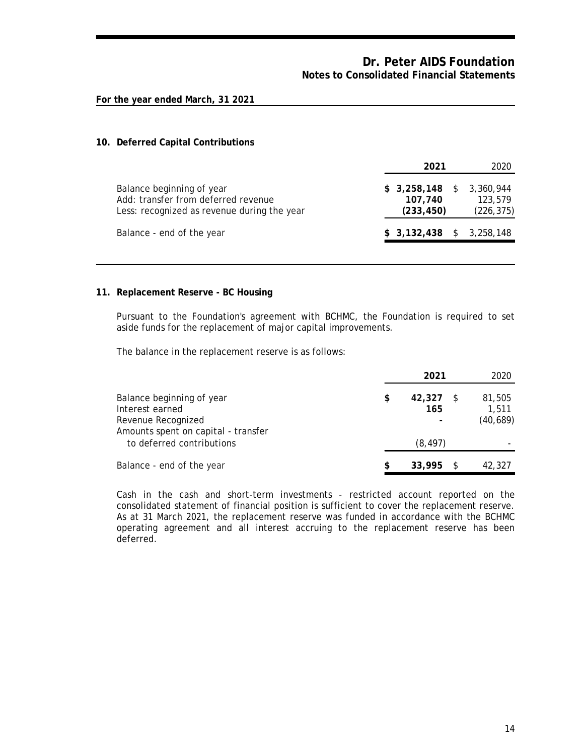# **For the year ended March, 31 2021**

## **10. Deferred Capital Contributions**

|                                                                                                                 | 2021                                     | 2020                               |
|-----------------------------------------------------------------------------------------------------------------|------------------------------------------|------------------------------------|
| Balance beginning of year<br>Add: transfer from deferred revenue<br>Less: recognized as revenue during the year | $$3,258,148$ \,<br>107,740<br>(233, 450) | 3,360,944<br>123,579<br>(226, 375) |
| Balance - end of the year                                                                                       | $$3,132,438$ $$3,258,148$                |                                    |

#### **11. Replacement Reserve - BC Housing**

Pursuant to the Foundation's agreement with BCHMC, the Foundation is required to set aside funds for the replacement of major capital improvements.

The balance in the replacement reserve is as follows:

|                                                                                                           |    | 2021               | 2020                         |
|-----------------------------------------------------------------------------------------------------------|----|--------------------|------------------------------|
| Balance beginning of year<br>Interest earned<br>Revenue Recognized<br>Amounts spent on capital - transfer | \$ | 42,327<br>165<br>٠ | 81,505<br>1,511<br>(40, 689) |
| to deferred contributions                                                                                 |    | (8, 497)           |                              |
| Balance - end of the year                                                                                 | S  | 33,995             | 42,327                       |

Cash in the cash and short-term investments - restricted account reported on the consolidated statement of financial position is sufficient to cover the replacement reserve. As at 31 March 2021, the replacement reserve was funded in accordance with the BCHMC operating agreement and all interest accruing to the replacement reserve has been deferred.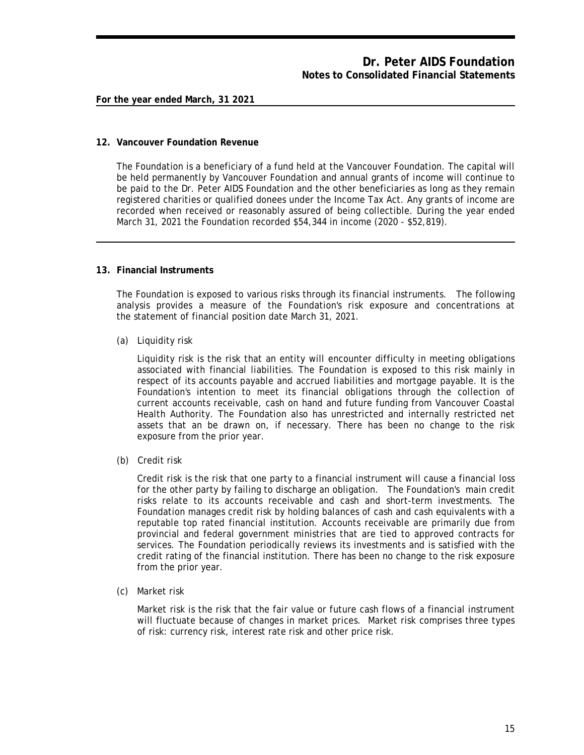## **12. Vancouver Foundation Revenue**

The Foundation is a beneficiary of a fund held at the Vancouver Foundation. The capital will be held permanently by Vancouver Foundation and annual grants of income will continue to be paid to the Dr. Peter AIDS Foundation and the other beneficiaries as long as they remain registered charities or qualified donees under the Income Tax Act. Any grants of income are recorded when received or reasonably assured of being collectible. During the year ended March 31, 2021 the Foundation recorded \$54,344 in income (2020 - \$52,819).

## **13. Financial Instruments**

The Foundation is exposed to various risks through its financial instruments. The following analysis provides a measure of the Foundation's risk exposure and concentrations at the statement of financial position date March 31, 2021.

(a) Liquidity risk

Liquidity risk is the risk that an entity will encounter difficulty in meeting obligations associated with financial liabilities. The Foundation is exposed to this risk mainly in respect of its accounts payable and accrued liabilities and mortgage payable. It is the Foundation's intention to meet its financial obligations through the collection of current accounts receivable, cash on hand and future funding from Vancouver Coastal Health Authority. The Foundation also has unrestricted and internally restricted net assets that an be drawn on, if necessary. There has been no change to the risk exposure from the prior year.

(b) Credit risk

Credit risk is the risk that one party to a financial instrument will cause a financial loss for the other party by failing to discharge an obligation. The Foundation's main credit risks relate to its accounts receivable and cash and short-term investments. The Foundation manages credit risk by holding balances of cash and cash equivalents with a reputable top rated financial institution. Accounts receivable are primarily due from provincial and federal government ministries that are tied to approved contracts for services. The Foundation periodically reviews its investments and is satisfied with the credit rating of the financial institution. There has been no change to the risk exposure from the prior year.

(c) Market risk

Market risk is the risk that the fair value or future cash flows of a financial instrument will fluctuate because of changes in market prices. Market risk comprises three types of risk: currency risk, interest rate risk and other price risk.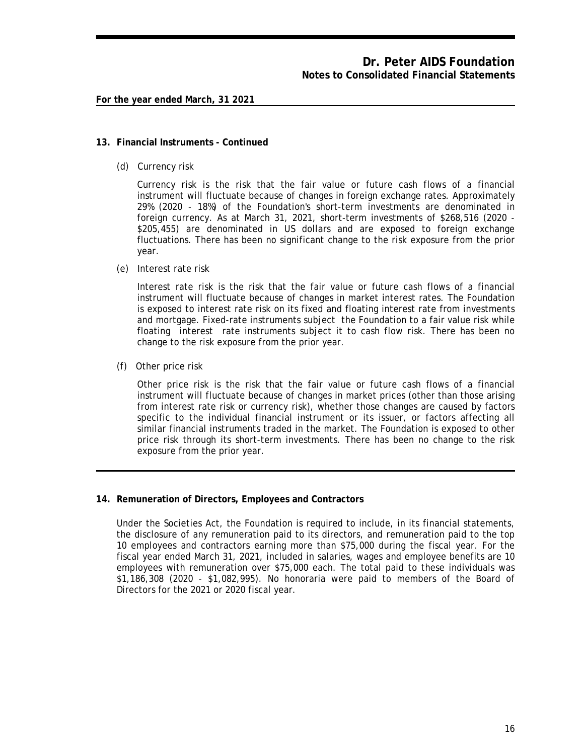#### **13. Financial Instruments - Continued**

(d) Currency risk

Currency risk is the risk that the fair value or future cash flows of a financial instrument will fluctuate because of changes in foreign exchange rates. Approximately 29% (2020 - 18%) of the Foundation's short-term investments are denominated in foreign currency. As at March 31, 2021, short-term investments of \$268,516 (2020 - \$205,455) are denominated in US dollars and are exposed to foreign exchange fluctuations. There has been no significant change to the risk exposure from the prior year.

(e) Interest rate risk

Interest rate risk is the risk that the fair value or future cash flows of a financial instrument will fluctuate because of changes in market interest rates. The Foundation is exposed to interest rate risk on its fixed and floating interest rate from investments and mortgage. Fixed-rate instruments subject the Foundation to a fair value risk while floating interest rate instruments subject it to cash flow risk. There has been no change to the risk exposure from the prior year.

(f) Other price risk

Other price risk is the risk that the fair value or future cash flows of a financial instrument will fluctuate because of changes in market prices (other than those arising from interest rate risk or currency risk), whether those changes are caused by factors specific to the individual financial instrument or its issuer, or factors affecting all similar financial instruments traded in the market. The Foundation is exposed to other price risk through its short-term investments. There has been no change to the risk exposure from the prior year.

## **14. Remuneration of Directors, Employees and Contractors**

Under the Societies Act, the Foundation is required to include, in its financial statements, the disclosure of any remuneration paid to its directors, and remuneration paid to the top 10 employees and contractors earning more than \$75,000 during the fiscal year. For the fiscal year ended March 31, 2021, included in salaries, wages and employee benefits are 10 employees with remuneration over \$75,000 each. The total paid to these individuals was \$1,186,308 (2020 - \$1,082,995). No honoraria were paid to members of the Board of Directors for the 2021 or 2020 fiscal year.